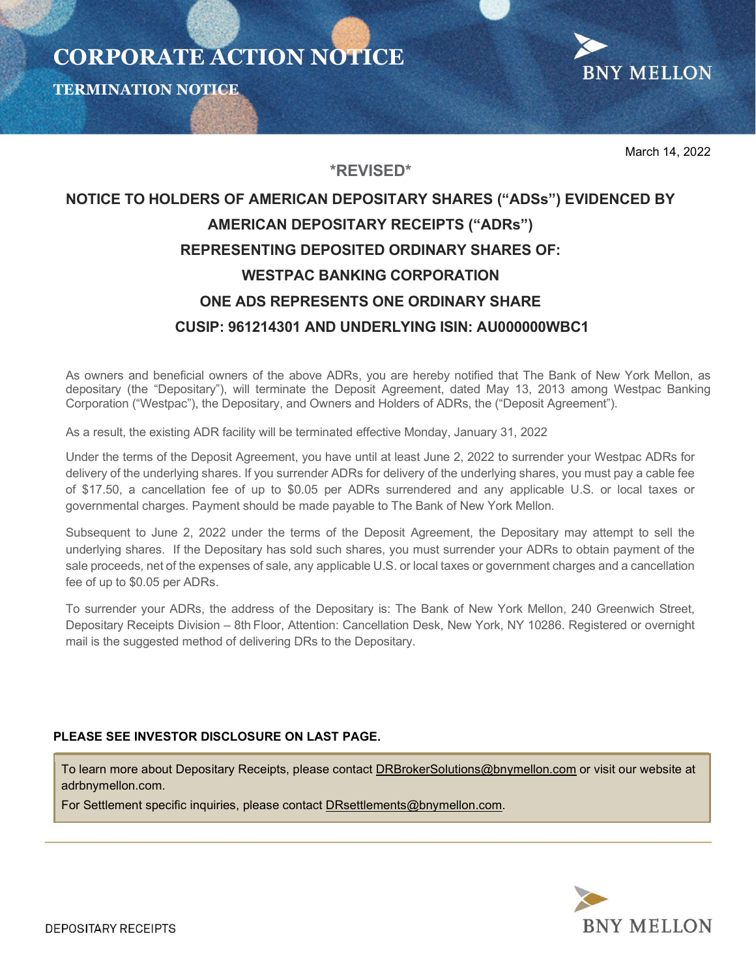



March 14, 2022

# NOTICE TO HOLDERS OF AMERICAN DEPOSITARY SHARES ("ADSs") EVIDENCED BY AMERICAN DEPOSITARY RECEIPTS ("ADRs") REPRESENTING DEPOSITED ORDINARY SHARES OF: WESTPAC BANKING CORPORATION ONE ADS REPRESENTS ONE ORDINARY SHARE CUSIP: 961214301 AND UNDERLYING ISIN: AU000000WBC1

\*REVISED\*

As owners and beneficial owners of the above ADRs, you are hereby notified that The Bank of New York Mellon, as depositary (the "Depositary"), will terminate the Deposit Agreement, dated May 13, 2013 among Westpac Banking Corporation ("Westpac"), the Depositary, and Owners and Holders of ADRs, the ("Deposit Agreement").

As a result, the existing ADR facility will be terminated effective Monday, January 31, 2022

Under the terms of the Deposit Agreement, you have until at least June 2, 2022 to surrender your Westpac ADRs for delivery of the underlying shares. If you surrender ADRs for delivery of the underlying shares, you must pay a cable fee of \$17.50, a cancellation fee of up to \$0.05 per ADRs surrendered and any applicable U.S. or local taxes or governmental charges. Payment should be made payable to The Bank of New York Mellon.

Subsequent to June 2, 2022 under the terms of the Deposit Agreement, the Depositary may attempt to sell the underlying shares. If the Depositary has sold such shares, you must surrender your ADRs to obtain payment of the sale proceeds, net of the expenses of sale, any applicable U.S. or local taxes or government charges and a cancellation fee of up to \$0.05 per ADRs.

To surrender your ADRs, the address of the Depositary is: The Bank of New York Mellon, 240 Greenwich Street, Depositary Receipts Division – 8th Floor, Attention: Cancellation Desk, New York, NY 10286. Registered or overnight mail is the suggested method of delivering DRs to the Depositary.

## PLEASE SEE INVESTOR DISCLOSURE ON LAST PAGE.

To learn more about Depositary Receipts, please contact DRBrokerSolutions@bnymellon.com or visit our website at adrbnymellon.com.

For Settlement specific inquiries, please contact DRsettlements@bnymellon.com.

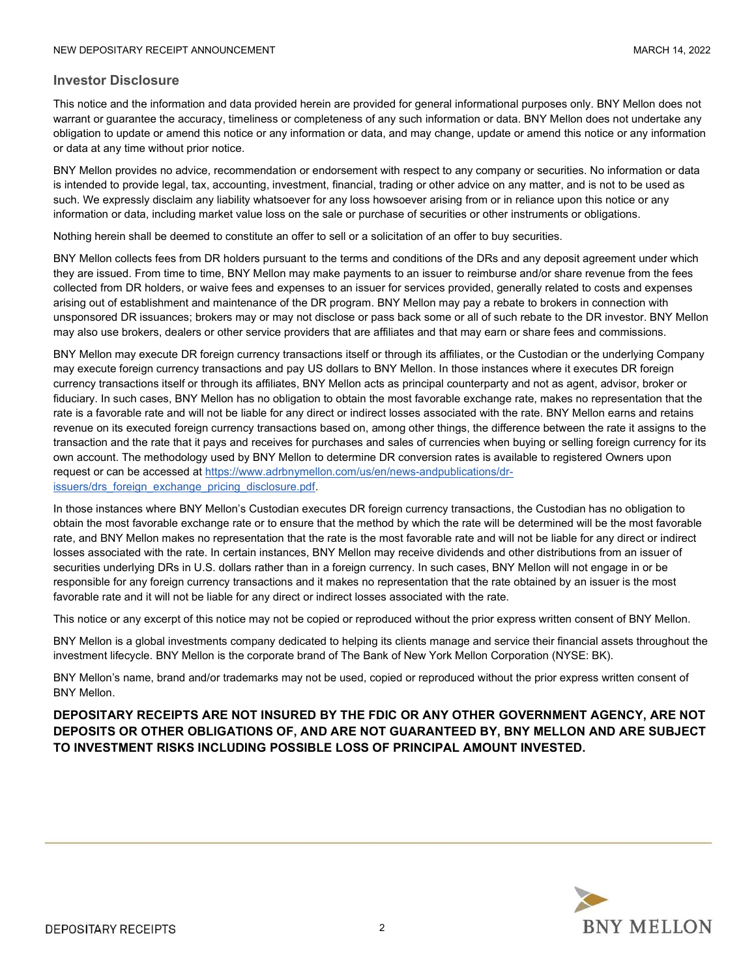#### Investor Disclosure

This notice and the information and data provided herein are provided for general informational purposes only. BNY Mellon does not warrant or guarantee the accuracy, timeliness or completeness of any such information or data. BNY Mellon does not undertake any obligation to update or amend this notice or any information or data, and may change, update or amend this notice or any information or data at any time without prior notice.

BNY Mellon provides no advice, recommendation or endorsement with respect to any company or securities. No information or data is intended to provide legal, tax, accounting, investment, financial, trading or other advice on any matter, and is not to be used as such. We expressly disclaim any liability whatsoever for any loss howsoever arising from or in reliance upon this notice or any information or data, including market value loss on the sale or purchase of securities or other instruments or obligations.

Nothing herein shall be deemed to constitute an offer to sell or a solicitation of an offer to buy securities.

BNY Mellon collects fees from DR holders pursuant to the terms and conditions of the DRs and any deposit agreement under which they are issued. From time to time, BNY Mellon may make payments to an issuer to reimburse and/or share revenue from the fees collected from DR holders, or waive fees and expenses to an issuer for services provided, generally related to costs and expenses arising out of establishment and maintenance of the DR program. BNY Mellon may pay a rebate to brokers in connection with unsponsored DR issuances; brokers may or may not disclose or pass back some or all of such rebate to the DR investor. BNY Mellon may also use brokers, dealers or other service providers that are affiliates and that may earn or share fees and commissions.

BNY Mellon may execute DR foreign currency transactions itself or through its affiliates, or the Custodian or the underlying Company may execute foreign currency transactions and pay US dollars to BNY Mellon. In those instances where it executes DR foreign currency transactions itself or through its affiliates, BNY Mellon acts as principal counterparty and not as agent, advisor, broker or fiduciary. In such cases, BNY Mellon has no obligation to obtain the most favorable exchange rate, makes no representation that the rate is a favorable rate and will not be liable for any direct or indirect losses associated with the rate. BNY Mellon earns and retains revenue on its executed foreign currency transactions based on, among other things, the difference between the rate it assigns to the transaction and the rate that it pays and receives for purchases and sales of currencies when buying or selling foreign currency for its own account. The methodology used by BNY Mellon to determine DR conversion rates is available to registered Owners upon request or can be accessed at https://www.adrbnymellon.com/us/en/news-andpublications/drissuers/drs\_foreign\_exchange\_pricing\_disclosure.pdf.

In those instances where BNY Mellon's Custodian executes DR foreign currency transactions, the Custodian has no obligation to obtain the most favorable exchange rate or to ensure that the method by which the rate will be determined will be the most favorable rate, and BNY Mellon makes no representation that the rate is the most favorable rate and will not be liable for any direct or indirect losses associated with the rate. In certain instances, BNY Mellon may receive dividends and other distributions from an issuer of securities underlying DRs in U.S. dollars rather than in a foreign currency. In such cases, BNY Mellon will not engage in or be responsible for any foreign currency transactions and it makes no representation that the rate obtained by an issuer is the most favorable rate and it will not be liable for any direct or indirect losses associated with the rate.

This notice or any excerpt of this notice may not be copied or reproduced without the prior express written consent of BNY Mellon.

BNY Mellon is a global investments company dedicated to helping its clients manage and service their financial assets throughout the investment lifecycle. BNY Mellon is the corporate brand of The Bank of New York Mellon Corporation (NYSE: BK).

BNY Mellon's name, brand and/or trademarks may not be used, copied or reproduced without the prior express written consent of BNY Mellon.

DEPOSITARY RECEIPTS ARE NOT INSURED BY THE FDIC OR ANY OTHER GOVERNMENT AGENCY, ARE NOT DEPOSITS OR OTHER OBLIGATIONS OF, AND ARE NOT GUARANTEED BY, BNY MELLON AND ARE SUBJECT TO INVESTMENT RISKS INCLUDING POSSIBLE LOSS OF PRINCIPAL AMOUNT INVESTED.

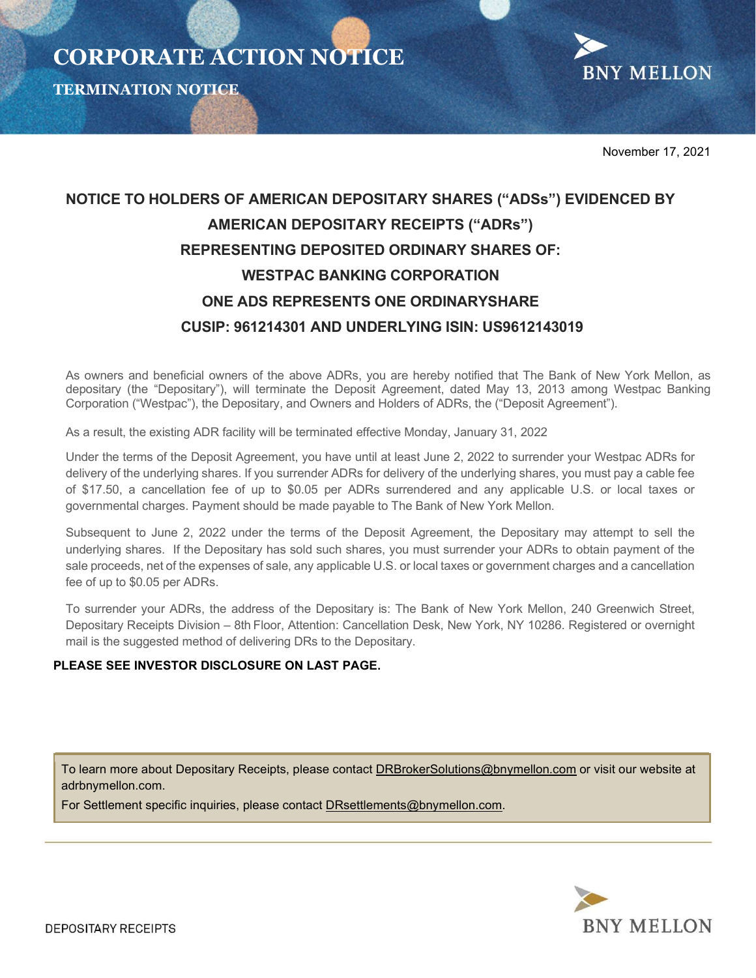

November 17, 2021

## NOTICE TO HOLDERS OF AMERICAN DEPOSITARY SHARES ("ADSs") EVIDENCED BY AMERICAN DEPOSITARY RECEIPTS ("ADRs") REPRESENTING DEPOSITED ORDINARY SHARES OF: WESTPAC BANKING CORPORATION ONE ADS REPRESENTS ONE ORDINARYSHARE CUSIP: 961214301 AND UNDERLYING ISIN: US9612143019

As owners and beneficial owners of the above ADRs, you are hereby notified that The Bank of New York Mellon, as depositary (the "Depositary"), will terminate the Deposit Agreement, dated May 13, 2013 among Westpac Banking Corporation ("Westpac"), the Depositary, and Owners and Holders of ADRs, the ("Deposit Agreement").

As a result, the existing ADR facility will be terminated effective Monday, January 31, 2022

Under the terms of the Deposit Agreement, you have until at least June 2, 2022 to surrender your Westpac ADRs for delivery of the underlying shares. If you surrender ADRs for delivery of the underlying shares, you must pay a cable fee of \$17.50, a cancellation fee of up to \$0.05 per ADRs surrendered and any applicable U.S. or local taxes or governmental charges. Payment should be made payable to The Bank of New York Mellon.

Subsequent to June 2, 2022 under the terms of the Deposit Agreement, the Depositary may attempt to sell the underlying shares. If the Depositary has sold such shares, you must surrender your ADRs to obtain payment of the sale proceeds, net of the expenses of sale, any applicable U.S. or local taxes or government charges and a cancellation fee of up to \$0.05 per ADRs.

To surrender your ADRs, the address of the Depositary is: The Bank of New York Mellon, 240 Greenwich Street, Depositary Receipts Division – 8th Floor, Attention: Cancellation Desk, New York, NY 10286. Registered or overnight mail is the suggested method of delivering DRs to the Depositary.

## PLEASE SEE INVESTOR DISCLOSURE ON LAST PAGE.

To learn more about Depositary Receipts, please contact DRBrokerSolutions@bnymellon.com or visit our website at adrbnymellon.com.

For Settlement specific inquiries, please contact DRsettlements@bnymellon.com.